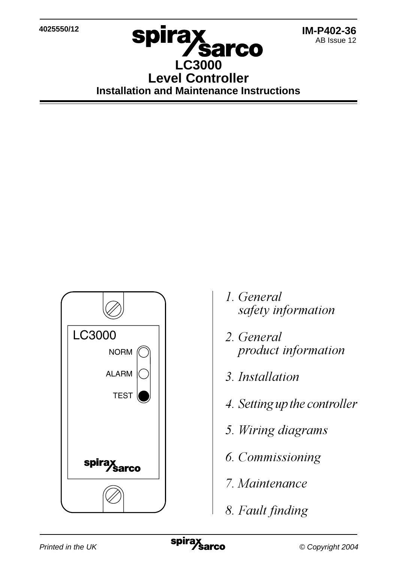**4025550/12**



**spirax Sarco LC3000 Level Controller Installation and Maintenance Instructions**



- *l*. General safety information
- 2. General
- 3. Installation
- 4. Setting up the controller
- 5. Wiring diagrams
- 6. Commissioning
- 7. Maintenance
- 8. Fault finding

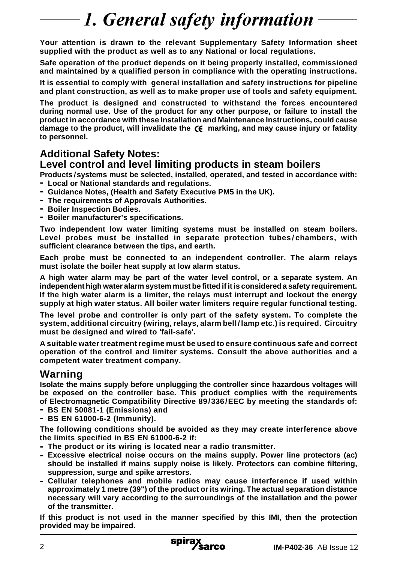# 1. General safety information

**Your attention is drawn to the relevant Supplementary Safety Information sheet supplied with the product as well as to any National or local regulations.**

**Safe operation of the product depends on it being properly installed, commissioned and maintained by a qualified person in compliance with the operating instructions.**

**It is essential to comply with general installation and safety instructions for pipeline and plant construction, as well as to make proper use of tools and safety equipment.**

**The product is designed and constructed to withstand the forces encountered during normal use. Use of the product for any other purpose, or failure to install the product in accordance with these Installation and Maintenance Instructions, could cause** damage to the product, will invalidate the  $\mathsf{C}\mathsf{E}$  marking, and may cause injury or fatality **to personnel.**

#### **Additional Safety Notes:**

#### **Level control and level limiting products in steam boilers**

**Products /systems must be selected, installed, operated, and tested in accordance with: - Local or National standards and regulations.**

- **- Guidance Notes, (Health and Safety Executive PM5 in the UK).**
- **- The requirements of Approvals Authorities.**
- **- Boiler Inspection Bodies.**
- **- Boiler manufacturer's specifications.**

**Two independent low water limiting systems must be installed on steam boilers. Level probes must be installed in separate protection tubes/chambers, with sufficient clearance between the tips, and earth.**

**Each probe must be connected to an independent controller. The alarm relays must isolate the boiler heat supply at low alarm status.**

**A high water alarm may be part of the water level control, or a separate system. An independent high water alarm system must be fitted if it is considered a safety requirement. If the high water alarm is a limiter, the relays must interrupt and lockout the energy supply at high water status. All boiler water limiters require regular functional testing.**

**The level probe and controller is only part of the safety system. To complete the system, additional circuitry (wiring, relays, alarm bell/lamp etc.) is required. Circuitry must be designed and wired to 'fail-safe'.**

**A suitable water treatment regime must be used to ensure continuous safe and correct operation of the control and limiter systems. Consult the above authorities and a competent water treatment company.**

#### **Warning**

**Isolate the mains supply before unplugging the controller since hazardous voltages will be exposed on the controller base. This product complies with the requirements of Electromagnetic Compatibility Directive 89/336/EEC by meeting the standards of:**

- **- BS EN 50081-1 (Emissions) and**
- **- BS EN 61000-6-2 (Immunity).**

**The following conditions should be avoided as they may create interference above the limits specified in BS EN 61000-6-2 if:**

- **- The product or its wiring is located near a radio transmitter.**
- **- Excessive electrical noise occurs on the mains supply. Power line protectors (ac) should be installed if mains supply noise is likely. Protectors can combine filtering, suppression, surge and spike arrestors.**
- **- Cellular telephones and mobile radios may cause interference if used within approximately 1 metre (39") of the product or its wiring. The actual separation distance necessary will vary according to the surroundings of the installation and the power of the transmitter.**

**If this product is not used in the manner specified by this IMI, then the protection provided may be impaired.**

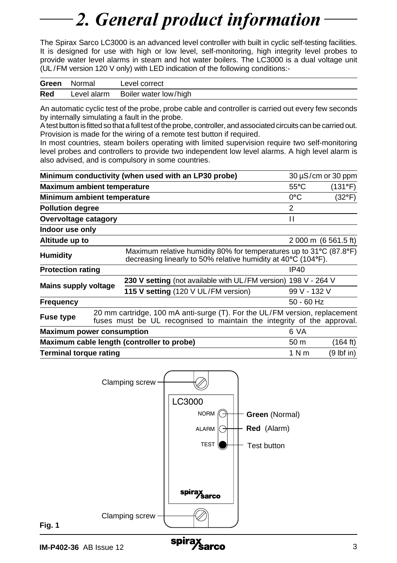# 2. General product information

The Spirax Sarco LC3000 is an advanced level controller with built in cyclic self-testing facilities. It is designed for use with high or low level, self-monitoring, high integrity level probes to provide water level alarms in steam and hot water boilers. The LC3000 is a dual voltage unit (UL /FM version 120 V only) with LED indication of the following conditions:-

| Green | Normal | Level correct                     |
|-------|--------|-----------------------------------|
| Red   |        | Level alarm Boiler water low/high |

An automatic cyclic test of the probe, probe cable and controller is carried out every few seconds by internally simulating a fault in the probe.

A test button is fitted so that a full test of the probe, controller, and associated circuits can be carried out. Provision is made for the wiring of a remote test button if required.

In most countries, steam boilers operating with limited supervision require two self-monitoring level probes and controllers to provide two independent low level alarms. A high level alarm is also advised, and is compulsory in some countries.

| Minimum conductivity (when used with an LP30 probe) |                                                                                                                                                      |                                                                                                                                     | $30 \mu$ S/cm or 30 ppm |                      |  |
|-----------------------------------------------------|------------------------------------------------------------------------------------------------------------------------------------------------------|-------------------------------------------------------------------------------------------------------------------------------------|-------------------------|----------------------|--|
| <b>Maximum ambient temperature</b>                  |                                                                                                                                                      |                                                                                                                                     | $55^{\circ}$ C          | (131°F)              |  |
| Minimum ambient temperature                         |                                                                                                                                                      |                                                                                                                                     | $0^{\circ}$ C           | (32°F)               |  |
| <b>Pollution degree</b>                             |                                                                                                                                                      |                                                                                                                                     | 2                       |                      |  |
| Overvoltage catagory                                |                                                                                                                                                      |                                                                                                                                     | Ш                       |                      |  |
| Indoor use only                                     |                                                                                                                                                      |                                                                                                                                     |                         |                      |  |
| Altitude up to                                      |                                                                                                                                                      |                                                                                                                                     |                         | 2 000 m (6 561.5 ft) |  |
| Humidity                                            |                                                                                                                                                      | Maximum relative humidity 80% for temperatures up to 31°C (87.8°F)<br>decreasing linearly to 50% relative humidity at 40°C (104°F). |                         |                      |  |
| <b>Protection rating</b>                            |                                                                                                                                                      |                                                                                                                                     | IP40                    |                      |  |
| Mains supply voltage                                |                                                                                                                                                      | 230 V setting (not available with UL/FM version) 198 V - 264 V                                                                      |                         |                      |  |
|                                                     |                                                                                                                                                      | 115 V setting (120 V UL/FM version)                                                                                                 | 99 V - 132 V            |                      |  |
| <b>Frequency</b>                                    |                                                                                                                                                      |                                                                                                                                     | $50 - 60$ Hz            |                      |  |
| <b>Fuse type</b>                                    | 20 mm cartridge, 100 mA anti-surge (T). For the UL/FM version, replacement<br>fuses must be UL recognised to maintain the integrity of the approval. |                                                                                                                                     |                         |                      |  |
| <b>Maximum power consumption</b>                    |                                                                                                                                                      |                                                                                                                                     | 6 VA                    |                      |  |
| Maximum cable length (controller to probe)          |                                                                                                                                                      |                                                                                                                                     | 50 <sub>m</sub>         | (164 ft)             |  |
| <b>Terminal torque rating</b>                       |                                                                                                                                                      |                                                                                                                                     | 1 N m                   | (9 lbf in)           |  |

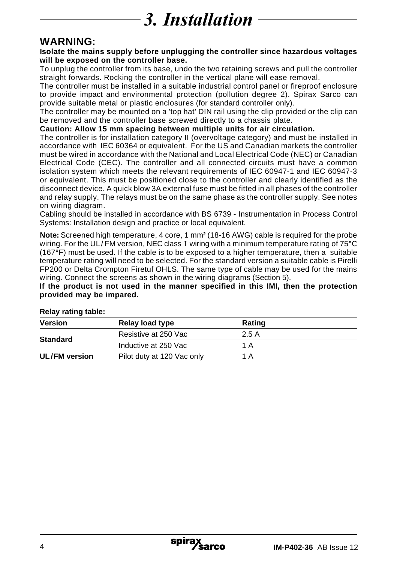# 3. Installation

#### **WARNING:**

**Isolate the mains supply before unplugging the controller since hazardous voltages will be exposed on the controller base.**

To unplug the controller from its base, undo the two retaining screws and pull the controller straight forwards. Rocking the controller in the vertical plane will ease removal.

The controller must be installed in a suitable industrial control panel or fireproof enclosure to provide impact and environmental protection (pollution degree 2). Spirax Sarco can provide suitable metal or plastic enclosures (for standard controller only).

The controller may be mounted on a 'top hat' DIN rail using the clip provided or the clip can be removed and the controller base screwed directly to a chassis plate.

**Caution: Allow 15 mm spacing between multiple units for air circulation.**

The controller is for installation category II (overvoltage category) and must be installed in accordance with IEC 60364 or equivalent. For the US and Canadian markets the controller must be wired in accordance with the National and Local Electrical Code (NEC) or Canadian Electrical Code (CEC). The controller and all connected circuits must have a common isolation system which meets the relevant requirements of IEC 60947-1 and IEC 60947-3 or equivalent. This must be positioned close to the controller and clearly identified as the disconnect device. A quick blow 3A external fuse must be fitted in all phases of the controller and relay supply. The relays must be on the same phase as the controller supply. See notes on wiring diagram.

Cabling should be installed in accordance with BS 6739 - Instrumentation in Process Control Systems: Installation design and practice or local equivalent.

**Note:** Screened high temperature, 4 core, 1 mm<sup>2</sup> (18-16 AWG) cable is required for the probe wiring. For the UL/FM version, NEC class I wiring with a minimum temperature rating of 75°C (167**°**F) must be used. If the cable is to be exposed to a higher temperature, then a suitable temperature rating will need to be selected. For the standard version a suitable cable is Pirelli FP200 or Delta Crompton Firetuf OHLS. The same type of cable may be used for the mains wiring. Connect the screens as shown in the wiring diagrams (Section 5).

**If the product is not used in the manner specified in this IMI, then the protection provided may be impared.**

| Version       | Relay load type            | Rating |  |
|---------------|----------------------------|--------|--|
| Standard      | Resistive at 250 Vac       | 2.5 A  |  |
|               | Inductive at 250 Vac       | 1 A    |  |
| UL/FM version | Pilot duty at 120 Vac only | 1 A    |  |

**Relay rating table:**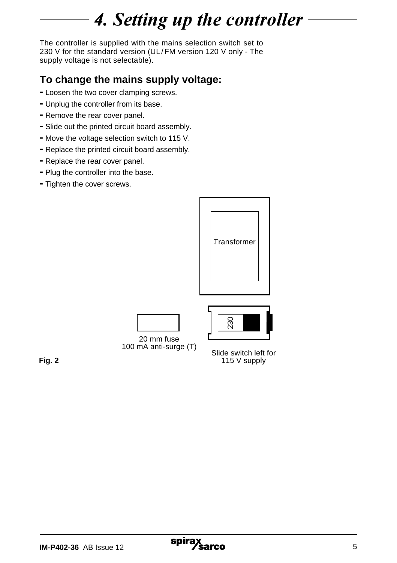# 4. Setting up the controller

The controller is supplied with the mains selection switch set to 230 V for the standard version (UL/ FM version 120 V only - The supply voltage is not selectable).

### **To change the mains supply voltage:**

- **-** Loosen the two cover clamping screws.
- **-** Unplug the controller from its base.
- **-** Remove the rear cover panel.
- **-** Slide out the printed circuit board assembly.
- **-** Move the voltage selection switch to 115 V.
- **-** Replace the printed circuit board assembly.
- **-** Replace the rear cover panel.
- **-** Plug the controller into the base.
- **-** Tighten the cover screws.



20 mm fuse 100 mA anti-surge (T) Slide switch left for



115 V supply

**Fig. 2**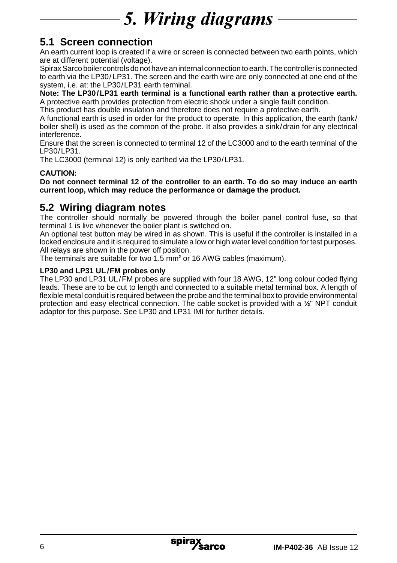## 5. Wiring diagrams

### **5.1 Screen connection**

An earth current loop is created if a wire or screen is connected between two earth points, which are at different potential (voltage).

Spirax Sarco boiler controls do not have an internal connection to earth. The controller is connected to earth via the LP30/ LP31. The screen and the earth wire are only connected at one end of the system, i.e. at: the LP30/LP31 earth terminal.

#### **Note: The LP30/LP31 earth terminal is a functional earth rather than a protective earth.** A protective earth provides protection from electric shock under a single fault condition.

This product has double insulation and therefore does not require a protective earth.

A functional earth is used in order for the product to operate. In this application, the earth (tank/ boiler shell) is used as the common of the probe. It also provides a sink/drain for any electrical interference.

Ensure that the screen is connected to terminal 12 of the LC3000 and to the earth terminal of the LP30/LP31.

The LC3000 (terminal 12) is only earthed via the LP30/LP31.

#### **CAUTION:**

**Do not connect terminal 12 of the controller to an earth. To do so may induce an earth current loop, which may reduce the performance or damage the product.**

### **5.2 Wiring diagram notes**

The controller should normally be powered through the boiler panel control fuse, so that terminal 1 is live whenever the boiler plant is switched on.

An optional test button may be wired in as shown. This is useful if the controller is installed in a locked enclosure and it is required to simulate a low or high water level condition for test purposes. All relays are shown in the power off position.

The terminals are suitable for two 1.5 mm<sup>2</sup> or 16 AWG cables (maximum).

#### **LP30 and LP31 UL /FM probes only**

The LP30 and LP31 UL/FM probes are supplied with four 18 AWG, 12" long colour coded flying leads. These are to be cut to length and connected to a suitable metal terminal box. A length of flexible metal conduit is required between the probe and the terminal box to provide environmental protection and easy electrical connection. The cable socket is provided with a **½**" NPT conduit adaptor for this purpose. See LP30 and LP31 IMI for further details.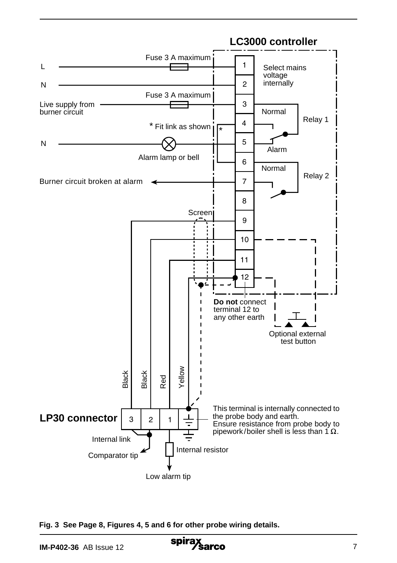

**Fig. 3 See Page 8, Figures 4, 5 and 6 for other probe wiring details.**

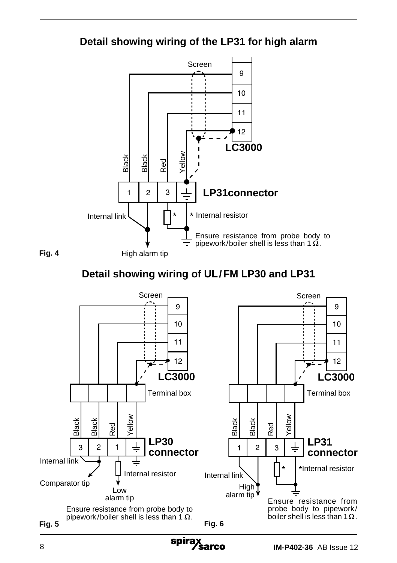

**Detail showing wiring of the LP31 for high alarm**

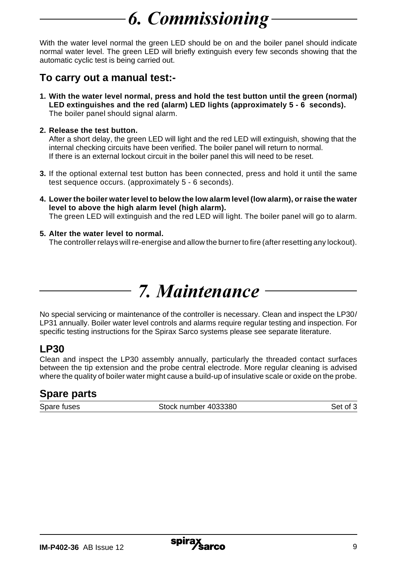# **6.** Commissioning

With the water level normal the green LED should be on and the boiler panel should indicate normal water level. The green LED will briefly extinguish every few seconds showing that the automatic cyclic test is being carried out.

#### **To carry out a manual test:-**

- **1. With the water level normal, press and hold the test button until the green (normal) LED extinguishes and the red (alarm) LED lights (approximately 5 - 6 seconds).** The boiler panel should signal alarm.
- **2. Release the test button.**

After a short delay, the green LED will light and the red LED will extinguish, showing that the internal checking circuits have been verified. The boiler panel will return to normal. If there is an external lockout circuit in the boiler panel this will need to be reset.

- **3.** If the optional external test button has been connected, press and hold it until the same test sequence occurs. (approximately 5 - 6 seconds).
- **4. Lower the boiler water level to below the low alarm level (low alarm), or raise the water level to above the high alarm level (high alarm).** The green LED will extinguish and the red LED will light. The boiler panel will go to alarm.
- **5. Alter the water level to normal.** The controller relays will re-energise and allow the burner to fire (after resetting any lockout).

## 7. Maintenance

No special servicing or maintenance of the controller is necessary. Clean and inspect the LP30/ LP31 annually. Boiler water level controls and alarms require regular testing and inspection. For specific testing instructions for the Spirax Sarco systems please see separate literature.

### **LP30**

Clean and inspect the LP30 assembly annually, particularly the threaded contact surfaces between the tip extension and the probe central electrode. More regular cleaning is advised where the quality of boiler water might cause a build-up of insulative scale or oxide on the probe.

#### **Spare parts**

Spare fuses Stock number 4033380 Set of 3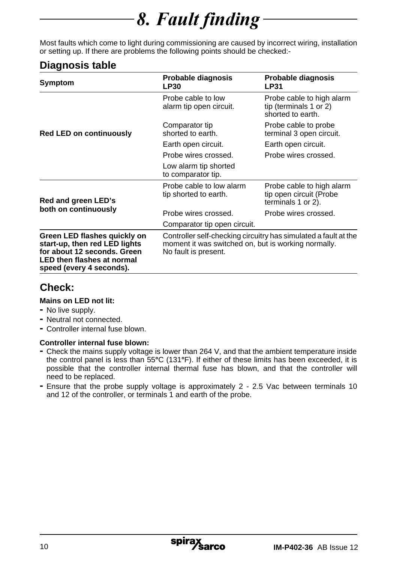# 8. Fault finding

Most faults which come to light during commissioning are caused by incorrect wiring, installation or setting up. If there are problems the following points should be checked:-

#### **Diagnosis table**

| Symptom                                                                                                                                                       | Probable diagnosis<br><b>LP30</b>                                                                                                              | Probable diagnosis<br><b>LP31</b>                                          |  |
|---------------------------------------------------------------------------------------------------------------------------------------------------------------|------------------------------------------------------------------------------------------------------------------------------------------------|----------------------------------------------------------------------------|--|
|                                                                                                                                                               | Probe cable to low<br>alarm tip open circuit.                                                                                                  | Probe cable to high alarm<br>tip (terminals 1 or 2)<br>shorted to earth.   |  |
| <b>Red LED on continuously</b>                                                                                                                                | Comparator tip<br>shorted to earth.                                                                                                            | Probe cable to probe<br>terminal 3 open circuit.                           |  |
|                                                                                                                                                               | Earth open circuit.                                                                                                                            | Earth open circuit.                                                        |  |
|                                                                                                                                                               | Probe wires crossed.                                                                                                                           | Probe wires crossed.                                                       |  |
|                                                                                                                                                               | Low alarm tip shorted<br>to comparator tip.                                                                                                    |                                                                            |  |
| Red and green LED's                                                                                                                                           | Probe cable to low alarm<br>tip shorted to earth.                                                                                              | Probe cable to high alarm<br>tip open circuit (Probe<br>terminals 1 or 2). |  |
| both on continuously                                                                                                                                          | Probe wires crossed.                                                                                                                           | Probe wires crossed.                                                       |  |
|                                                                                                                                                               | Comparator tip open circuit.                                                                                                                   |                                                                            |  |
| Green LED flashes quickly on<br>start-up, then red LED lights<br>for about 12 seconds. Green<br><b>LED then flashes at normal</b><br>speed (every 4 seconds). | Controller self-checking circuitry has simulated a fault at the<br>moment it was switched on, but is working normally.<br>No fault is present. |                                                                            |  |

#### **Check:**

**Mains on LED not lit:**

- **-** No live supply.
- **-** Neutral not connected.
- **-** Controller internal fuse blown.

#### **Controller internal fuse blown:**

- **-** Check the mains supply voltage is lower than 264 V, and that the ambient temperature inside the control panel is less than 55**°**C (131**°**F). If either of these limits has been exceeded, it is possible that the controller internal thermal fuse has blown, and that the controller will need to be replaced.
- **-** Ensure that the probe supply voltage is approximately 2 2.5 Vac between terminals 10 and 12 of the controller, or terminals 1 and earth of the probe.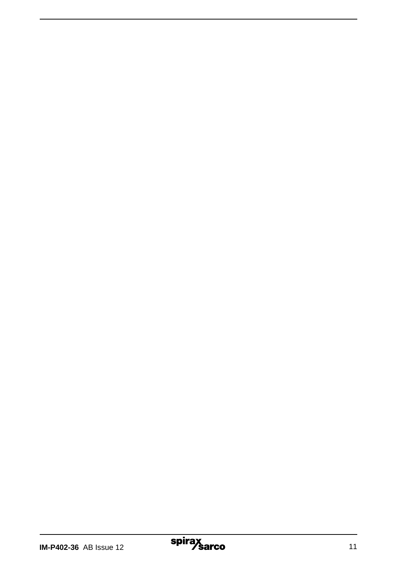